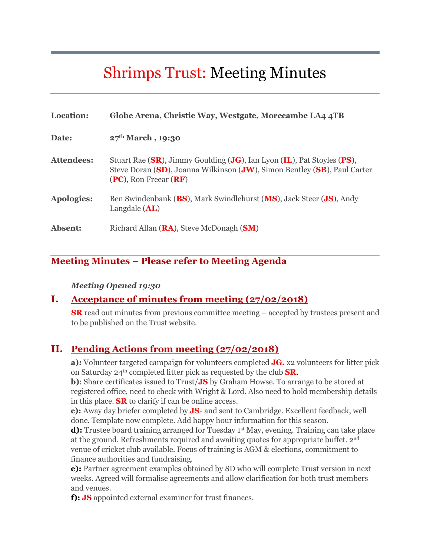# Shrimps Trust: Meeting Minutes

| Location:         | Globe Arena, Christie Way, Westgate, Morecambe LA4 4TB                                                                                                                           |
|-------------------|----------------------------------------------------------------------------------------------------------------------------------------------------------------------------------|
| Date:             | $27th March$ , 19:30                                                                                                                                                             |
| Attendees:        | Stuart Rae (SR), Jimmy Goulding (JG), Ian Lyon (IL), Pat Stoyles (PS),<br>Steve Doran (SD), Joanna Wilkinson (JW), Simon Bentley (SB), Paul Carter<br>$(PC)$ , Ron Freear $(RF)$ |
| <b>Apologies:</b> | Ben Swindenbank (BS), Mark Swindlehurst (MS), Jack Steer (JS), Andy<br>Langdale $(AL)$                                                                                           |
| Absent:           | Richard Allan ( <b>RA</b> ), Steve McDonagh ( <b>SM</b> )                                                                                                                        |

### **Meeting Minutes – Please refer to Meeting Agenda**

#### *Meeting Opened 19:30*

#### **I. Acceptance of minutes from meeting (27/02/2018)**

**SR** read out minutes from previous committee meeting – accepted by trustees present and to be published on the Trust website.

#### **II. Pending Actions from meeting (27/02/2018)**

**a):** Volunteer targeted campaign for volunteers completed **JG.** x2 volunteers for litter pick on Saturday 24th completed litter pick as requested by the club **SR**.

**b**): Share certificates issued to Trust/**JS** by Graham Howse. To arrange to be stored at registered office, need to check with Wright & Lord. Also need to hold membership details in this place. **SR** to clarify if can be online access.

**c):** Away day briefer completed by **JS**- and sent to Cambridge. Excellent feedback, well done. Template now complete. Add happy hour information for this season.

**d):** Trustee board training arranged for Tuesday 1<sup>st</sup> May, evening. Training can take place at the ground. Refreshments required and awaiting quotes for appropriate buffet. 2nd venue of cricket club available. Focus of training is AGM & elections, commitment to finance authorities and fundraising.

**e):** Partner agreement examples obtained by SD who will complete Trust version in next weeks. Agreed will formalise agreements and allow clarification for both trust members and venues.

**f): JS** appointed external examiner for trust finances.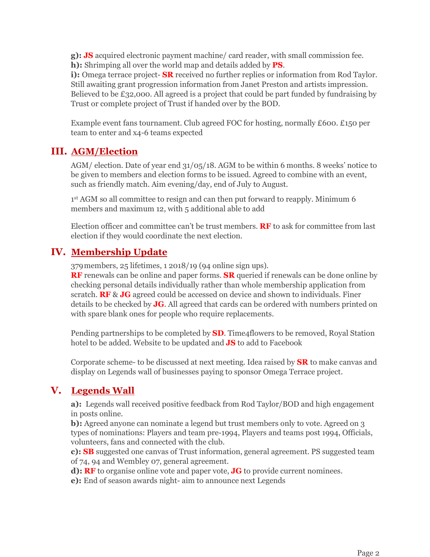**g): JS** acquired electronic payment machine/ card reader, with small commission fee. **h):** Shrimping all over the world map and details added by **PS**.

**i):** Omega terrace project- **SR** received no further replies or information from Rod Taylor. Still awaiting grant progression information from Janet Preston and artists impression. Believed to be £32,000. All agreed is a project that could be part funded by fundraising by Trust or complete project of Trust if handed over by the BOD.

Example event fans tournament. Club agreed FOC for hosting, normally £600. £150 per team to enter and x4-6 teams expected

#### **III. AGM/Election**

AGM/ election. Date of year end 31/05/18. AGM to be within 6 months. 8 weeks' notice to be given to members and election forms to be issued. Agreed to combine with an event, such as friendly match. Aim evening/day, end of July to August.

1st AGM so all committee to resign and can then put forward to reapply. Minimum 6 members and maximum 12, with 5 additional able to add

Election officer and committee can't be trust members. **RF** to ask for committee from last election if they would coordinate the next election.

#### **IV. Membership Update**

379members, 25 lifetimes, 1 2018/19 (94 online sign ups).

**RF** renewals can be online and paper forms. **SR** queried if renewals can be done online by checking personal details individually rather than whole membership application from scratch. **RF** & **JG** agreed could be accessed on device and shown to individuals. Finer details to be checked by **JG**. All agreed that cards can be ordered with numbers printed on with spare blank ones for people who require replacements.

Pending partnerships to be completed by **SD**. Time4flowers to be removed, Royal Station hotel to be added. Website to be updated and **JS** to add to Facebook

Corporate scheme- to be discussed at next meeting. Idea raised by **SR** to make canvas and display on Legends wall of businesses paying to sponsor Omega Terrace project.

### **V. Legends Wall**

**a):** Legends wall received positive feedback from Rod Taylor/BOD and high engagement in posts online.

**b):** Agreed anyone can nominate a legend but trust members only to vote. Agreed on 3 types of nominations: Players and team pre-1994, Players and teams post 1994, Officials, volunteers, fans and connected with the club.

**c): SB** suggested one canvas of Trust information, general agreement. PS suggested team of 74, 94 and Wembley 07, general agreement.

**d): RF** to organise online vote and paper vote, **JG** to provide current nominees.

**e):** End of season awards night- aim to announce next Legends